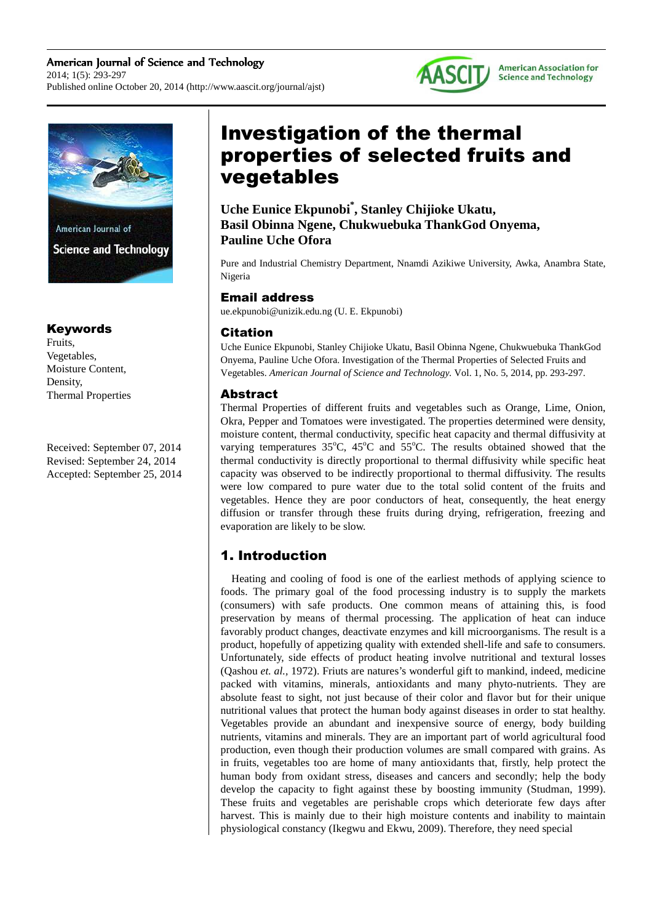



American Journal of **Science and Technology** 

## Keywords

Fruits, Vegetables, Moisture Content, Density, Thermal Properties

Received: September 07, 2014 Revised: September 24, 2014 Accepted: September 25, 2014

# Investigation of the thermal properties of selected fruits and vegetables

**Uche Eunice Ekpunobi\* , Stanley Chijioke Ukatu, Basil Obinna Ngene, Chukwuebuka ThankGod Onyema, Pauline Uche Ofora** 

Pure and Industrial Chemistry Department, Nnamdi Azikiwe University, Awka, Anambra State, Nigeria

## Email address

ue.ekpunobi@unizik.edu.ng (U. E. Ekpunobi)

## Citation

Uche Eunice Ekpunobi, Stanley Chijioke Ukatu, Basil Obinna Ngene, Chukwuebuka ThankGod Onyema, Pauline Uche Ofora. Investigation of the Thermal Properties of Selected Fruits and Vegetables. *American Journal of Science and Technology.* Vol. 1, No. 5, 2014, pp. 293-297.

## Abstract

Thermal Properties of different fruits and vegetables such as Orange, Lime, Onion, Okra, Pepper and Tomatoes were investigated. The properties determined were density, moisture content, thermal conductivity, specific heat capacity and thermal diffusivity at varying temperatures  $35^{\circ}$ C,  $45^{\circ}$ C and  $55^{\circ}$ C. The results obtained showed that the thermal conductivity is directly proportional to thermal diffusivity while specific heat capacity was observed to be indirectly proportional to thermal diffusivity. The results were low compared to pure water due to the total solid content of the fruits and vegetables. Hence they are poor conductors of heat, consequently, the heat energy diffusion or transfer through these fruits during drying, refrigeration, freezing and evaporation are likely to be slow.

## 1. Introduction

Heating and cooling of food is one of the earliest methods of applying science to foods. The primary goal of the food processing industry is to supply the markets (consumers) with safe products. One common means of attaining this, is food preservation by means of thermal processing. The application of heat can induce favorably product changes, deactivate enzymes and kill microorganisms. The result is a product, hopefully of appetizing quality with extended shell-life and safe to consumers. Unfortunately, side effects of product heating involve nutritional and textural losses (Qashou *et. al.,* 1972). Friuts are natures's wonderful gift to mankind, indeed, medicine packed with vitamins, minerals, antioxidants and many phyto-nutrients. They are absolute feast to sight, not just because of their color and flavor but for their unique nutritional values that protect the human body against diseases in order to stat healthy. Vegetables provide an abundant and inexpensive source of energy, body building nutrients, vitamins and minerals. They are an important part of world agricultural food production, even though their production volumes are small compared with grains. As in fruits, vegetables too are home of many antioxidants that, firstly, help protect the human body from oxidant stress, diseases and cancers and secondly; help the body develop the capacity to fight against these by boosting immunity (Studman, 1999). These fruits and vegetables are perishable crops which deteriorate few days after harvest. This is mainly due to their high moisture contents and inability to maintain physiological constancy (Ikegwu and Ekwu, 2009). Therefore, they need special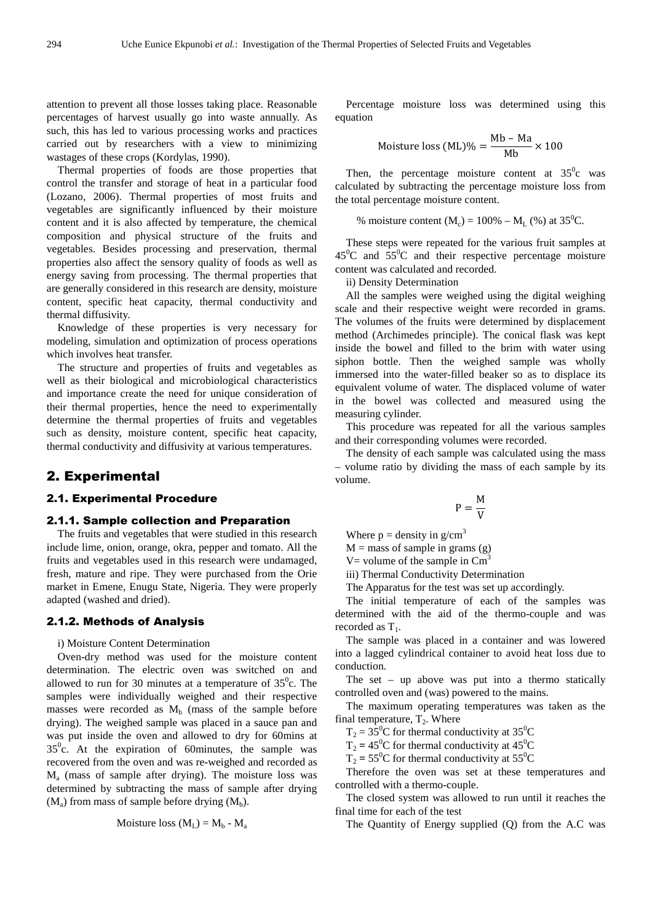attention to prevent all those losses taking place. Reasonable percentages of harvest usually go into waste annually. As such, this has led to various processing works and practices carried out by researchers with a view to minimizing wastages of these crops (Kordylas, 1990).

Thermal properties of foods are those properties that control the transfer and storage of heat in a particular food (Lozano, 2006). Thermal properties of most fruits and vegetables are significantly influenced by their moisture content and it is also affected by temperature, the chemical composition and physical structure of the fruits and vegetables. Besides processing and preservation, thermal properties also affect the sensory quality of foods as well as energy saving from processing. The thermal properties that are generally considered in this research are density, moisture content, specific heat capacity, thermal conductivity and thermal diffusivity.

Knowledge of these properties is very necessary for modeling, simulation and optimization of process operations which involves heat transfer.

The structure and properties of fruits and vegetables as well as their biological and microbiological characteristics and importance create the need for unique consideration of their thermal properties, hence the need to experimentally determine the thermal properties of fruits and vegetables such as density, moisture content, specific heat capacity, thermal conductivity and diffusivity at various temperatures.

#### 2. Experimental

#### 2.1. Experimental Procedure

#### 2.1.1. Sample collection and Preparation

The fruits and vegetables that were studied in this research include lime, onion, orange, okra, pepper and tomato. All the fruits and vegetables used in this research were undamaged, fresh, mature and ripe. They were purchased from the Orie market in Emene, Enugu State, Nigeria. They were properly adapted (washed and dried).

#### 2.1.2. Methods of Analysis

i) Moisture Content Determination

Oven-dry method was used for the moisture content determination. The electric oven was switched on and allowed to run for 30 minutes at a temperature of  $35^\circ$ c. The samples were individually weighed and their respective masses were recorded as  $M_b$  (mass of the sample before drying). The weighed sample was placed in a sauce pan and was put inside the oven and allowed to dry for 60mins at  $35^{\circ}$ c. At the expiration of 60minutes, the sample was recovered from the oven and was re-weighed and recorded as M<sup>a</sup> (mass of sample after drying). The moisture loss was determined by subtracting the mass of sample after drying  $(M_a)$  from mass of sample before drying  $(M_b)$ .

Moisture loss 
$$
(M_L) = M_b - M_a
$$

Percentage moisture loss was determined using this equation

Moisture loss (ML)% = 
$$
\frac{\text{Mb} - \text{Ma}}{\text{Mb}} \times 100
$$

Then, the percentage moisture content at  $35^\circ$ c was calculated by subtracting the percentage moisture loss from the total percentage moisture content.

% moisture content 
$$
(M_c) = 100\% - M_L
$$
 (%) at 35<sup>0</sup>C.

These steps were repeated for the various fruit samples at  $45^{\circ}$ C and  $55^{\circ}$ C and their respective percentage moisture content was calculated and recorded.

ii) Density Determination

All the samples were weighed using the digital weighing scale and their respective weight were recorded in grams. The volumes of the fruits were determined by displacement method (Archimedes principle). The conical flask was kept inside the bowel and filled to the brim with water using siphon bottle. Then the weighed sample was wholly immersed into the water-filled beaker so as to displace its equivalent volume of water. The displaced volume of water in the bowel was collected and measured using the measuring cylinder.

This procedure was repeated for all the various samples and their corresponding volumes were recorded.

The density of each sample was calculated using the mass – volume ratio by dividing the mass of each sample by its volume.

$$
\mathrm{P}=\frac{\mathrm{M}}{\mathrm{V}}
$$

Where  $p =$  density in  $q/cm<sup>3</sup>$ 

 $M =$  mass of sample in grams (g)

V= volume of the sample in  $\text{Cm}^3$ 

iii) Thermal Conductivity Determination

The Apparatus for the test was set up accordingly.

The initial temperature of each of the samples was determined with the aid of the thermo-couple and was recorded as  $T_1$ .

The sample was placed in a container and was lowered into a lagged cylindrical container to avoid heat loss due to conduction.

The set – up above was put into a thermo statically controlled oven and (was) powered to the mains.

The maximum operating temperatures was taken as the final temperature,  $T_2$ . Where

 $T_2 = 35^{\circ}$ C for thermal conductivity at 35<sup>o</sup>C

 $T_2 = 45^{\circ}$ C for thermal conductivity at  $45^{\circ}$ C

 $T_2 = 55^{\circ}$ C for thermal conductivity at  $55^{\circ}$ C

Therefore the oven was set at these temperatures and controlled with a thermo-couple.

The closed system was allowed to run until it reaches the final time for each of the test

The Quantity of Energy supplied (Q) from the A.C was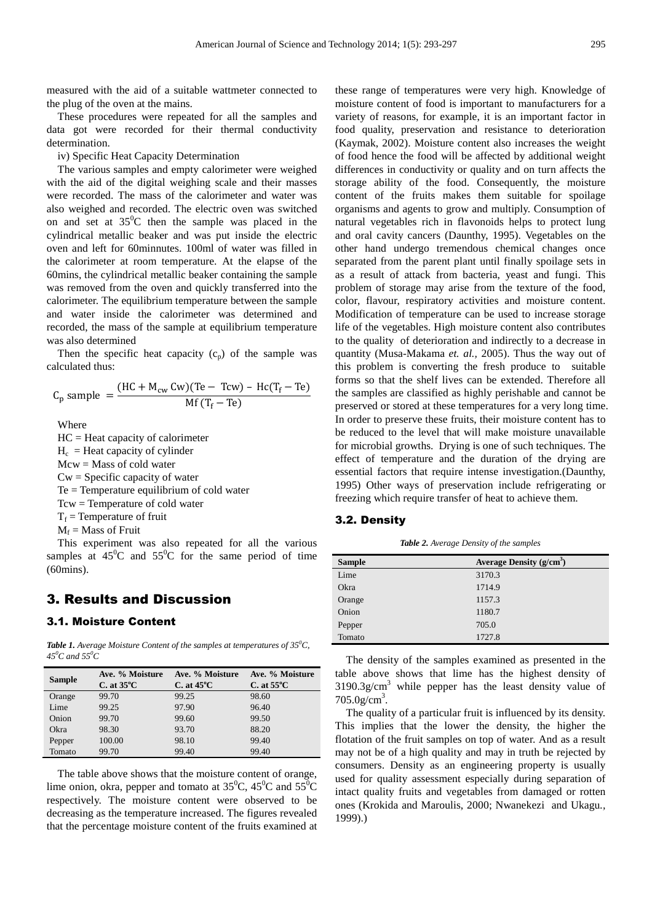measured with the aid of a suitable wattmeter connected to the plug of the oven at the mains.

These procedures were repeated for all the samples and data got were recorded for their thermal conductivity determination.

iv) Specific Heat Capacity Determination

The various samples and empty calorimeter were weighed with the aid of the digital weighing scale and their masses were recorded. The mass of the calorimeter and water was also weighed and recorded. The electric oven was switched on and set at  $35^{\circ}$ C then the sample was placed in the cylindrical metallic beaker and was put inside the electric oven and left for 60minnutes. 100ml of water was filled in the calorimeter at room temperature. At the elapse of the 60mins, the cylindrical metallic beaker containing the sample was removed from the oven and quickly transferred into the calorimeter. The equilibrium temperature between the sample and water inside the calorimeter was determined and recorded, the mass of the sample at equilibrium temperature was also determined

Then the specific heat capacity  $(c_p)$  of the sample was calculated thus:

$$
C_p \text{ sample } = \frac{(\text{HC} + \text{M}_{cw} \text{Cw})(\text{Te} - \text{Tcw}) - \text{Hc}(\text{T}_f - \text{Te})}{\text{Mf}(\text{T}_f - \text{Te})}
$$

Where

HC = Heat capacity of calorimeter  $H_c$  = Heat capacity of cylinder Mcw = Mass of cold water  $Cw =$ Specific capacity of water Te = Temperature equilibrium of cold water Tcw = Temperature of cold water  $T_f$  = Temperature of fruit

 $M_f$  = Mass of Fruit

This experiment was also repeated for all the various samples at  $45^{\circ}$ C and  $55^{\circ}$ C for the same period of time (60mins).

### 3. Results and Discussion

#### 3.1. Moisture Content

*Table 1. Average Moisture Content of the samples at temperatures of 35<sup>0</sup>C, 45<sup>0</sup>C and 55<sup>0</sup>C* 

| <b>Sample</b> | Ave. % Moisture<br>$C.$ at 35 $\rm ^{o}C$ | Ave. % Moisture<br>C. at $45^{\circ}$ C | Ave. % Moisture<br>C. at $55^{\circ}$ C |
|---------------|-------------------------------------------|-----------------------------------------|-----------------------------------------|
| Orange        | 99.70                                     | 99.25                                   | 98.60                                   |
| Lime          | 99.25                                     | 97.90                                   | 96.40                                   |
| Onion         | 99.70                                     | 99.60                                   | 99.50                                   |
| Okra          | 98.30                                     | 93.70                                   | 88.20                                   |
| Pepper        | 100.00                                    | 98.10                                   | 99.40                                   |
| Tomato        | 99.70                                     | 99.40                                   | 99.40                                   |

The table above shows that the moisture content of orange, lime onion, okra, pepper and tomato at  $35^{\circ}$ C,  $45^{\circ}$ C and  $55^{\circ}$ C respectively. The moisture content were observed to be decreasing as the temperature increased. The figures revealed that the percentage moisture content of the fruits examined at these range of temperatures were very high. Knowledge of moisture content of food is important to manufacturers for a variety of reasons, for example, it is an important factor in food quality, preservation and resistance to deterioration (Kaymak, 2002). Moisture content also increases the weight of food hence the food will be affected by additional weight differences in conductivity or quality and on turn affects the storage ability of the food. Consequently, the moisture content of the fruits makes them suitable for spoilage organisms and agents to grow and multiply. Consumption of natural vegetables rich in flavonoids helps to protect lung and oral cavity cancers (Daunthy, 1995). Vegetables on the other hand undergo tremendous chemical changes once separated from the parent plant until finally spoilage sets in as a result of attack from bacteria, yeast and fungi. This problem of storage may arise from the texture of the food, color, flavour, respiratory activities and moisture content. Modification of temperature can be used to increase storage life of the vegetables. High moisture content also contributes to the quality of deterioration and indirectly to a decrease in quantity (Musa-Makama *et. al.,* 2005). Thus the way out of this problem is converting the fresh produce to suitable forms so that the shelf lives can be extended. Therefore all the samples are classified as highly perishable and cannot be preserved or stored at these temperatures for a very long time. In order to preserve these fruits, their moisture content has to be reduced to the level that will make moisture unavailable for microbial growths. Drying is one of such techniques. The effect of temperature and the duration of the drying are essential factors that require intense investigation.(Daunthy, 1995) Other ways of preservation include refrigerating or freezing which require transfer of heat to achieve them.

#### 3.2. Density

*Table 2. Average Density of the samples* 

| <b>Sample</b> | Average Density $(g/cm3)$ |
|---------------|---------------------------|
| Lime          | 3170.3                    |
| Okra          | 1714.9                    |
| Orange        | 1157.3                    |
| Onion         | 1180.7                    |
| Pepper        | 705.0                     |
| Tomato        | 1727.8                    |

The density of the samples examined as presented in the table above shows that lime has the highest density of  $3190.3$ g/cm<sup>3</sup> while pepper has the least density value of  $705.0 g/cm<sup>3</sup>$ .

The quality of a particular fruit is influenced by its density. This implies that the lower the density, the higher the flotation of the fruit samples on top of water. And as a result may not be of a high quality and may in truth be rejected by consumers. Density as an engineering property is usually used for quality assessment especially during separation of intact quality fruits and vegetables from damaged or rotten ones (Krokida and Maroulis, 2000; Nwanekezi and Ukagu*.,* 1999).)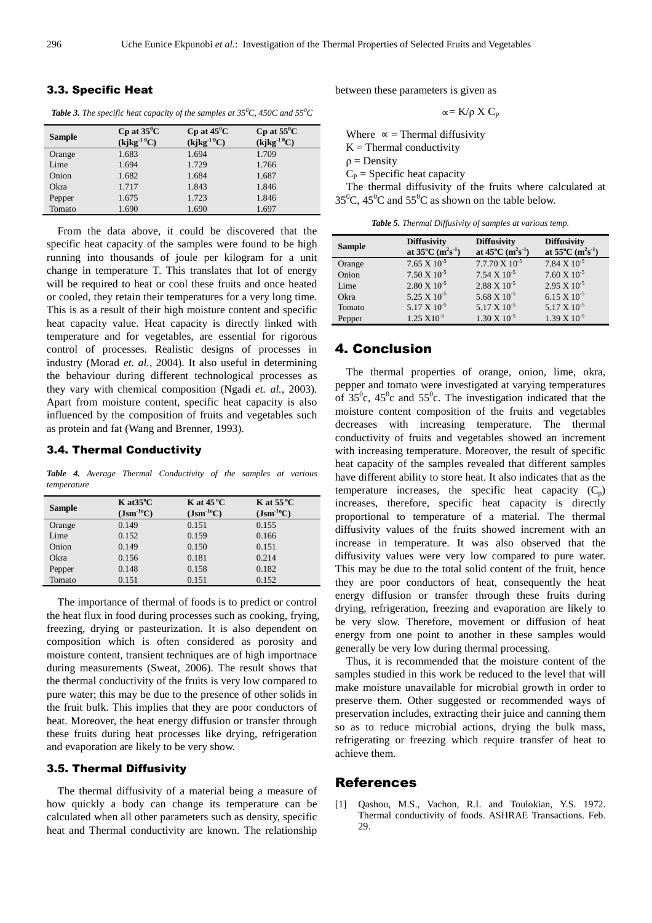#### 3.3. Specific Heat

*Table 3. The specific heat capacity of the samples at 35<sup>0</sup>C, 450C and 55<sup>0</sup>C* 

| Sample | $Cp$ at $35^{\circ}C$<br>$(kjkg^{-1}^0C)$ | $Cp$ at $45^{\circ}C$<br>$(kjkg^{-1}^0C)$ | $Cp$ at $55^{\circ}$ C<br>$(kjkg^{-1}^0C)$ |
|--------|-------------------------------------------|-------------------------------------------|--------------------------------------------|
| Orange | 1.683                                     | 1.694                                     | 1.709                                      |
| Lime   | 1.694                                     | 1.729                                     | 1.766                                      |
| Onion  | 1.682                                     | 1.684                                     | 1.687                                      |
| Okra   | 1.717                                     | 1.843                                     | 1.846                                      |
| Pepper | 1.675                                     | 1.723                                     | 1.846                                      |
| Tomato | 1.690                                     | 1.690                                     | 1.697                                      |

From the data above, it could be discovered that the specific heat capacity of the samples were found to be high running into thousands of joule per kilogram for a unit change in temperature T. This translates that lot of energy will be required to heat or cool these fruits and once heated or cooled, they retain their temperatures for a very long time. This is as a result of their high moisture content and specific heat capacity value. Heat capacity is directly linked with temperature and for vegetables, are essential for rigorous control of processes. Realistic designs of processes in industry (Morad *et. al.,* 2004). It also useful in determining the behaviour during different technological processes as they vary with chemical composition (Ngadi *et. al.,* 2003). Apart from moisture content, specific heat capacity is also influenced by the composition of fruits and vegetables such as protein and fat (Wang and Brenner, 1993).

#### 3.4. Thermal Conductivity

*Table 4. Average Thermal Conductivity of the samples at various temperature* 

| Sample | $K$ at $35^{\circ}$ C<br>$(Jsm^{-10}C)$ | $K$ at 45 °C<br>$(Jsm^{-10}C)$ | $K$ at 55 °C<br>$(Jsm^{-10}C)$ |
|--------|-----------------------------------------|--------------------------------|--------------------------------|
| Orange | 0.149                                   | 0.151                          | 0.155                          |
| Lime   | 0.152                                   | 0.159                          | 0.166                          |
| Onion  | 0.149                                   | 0.150                          | 0.151                          |
| Okra   | 0.156                                   | 0.181                          | 0.214                          |
| Pepper | 0.148                                   | 0.158                          | 0.182                          |
| Tomato | 0.151                                   | 0.151                          | 0.152                          |

The importance of thermal of foods is to predict or control the heat flux in food during processes such as cooking, frying, freezing, drying or pasteurization. It is also dependent on composition which is often considered as porosity and moisture content, transient techniques are of high importnace during measurements (Sweat, 2006). The result shows that the thermal conductivity of the fruits is very low compared to pure water; this may be due to the presence of other solids in the fruit bulk. This implies that they are poor conductors of heat. Moreover, the heat energy diffusion or transfer through these fruits during heat processes like drying, refrigeration and evaporation are likely to be very show.

#### 3.5. Thermal Diffusivity

The thermal diffusivity of a material being a measure of how quickly a body can change its temperature can be calculated when all other parameters such as density, specific heat and Thermal conductivity are known. The relationship

between these parameters is given as

$$
\lll K/\rho\;X\;C_P
$$

Where  $\infty$  = Thermal diffusivity  $K =$ Thermal conductivity  $\rho =$ Density  $C_P$  = Specific heat capacity The thermal diffusivity of the fruits where calculated at  $35^{\circ}$ C,  $45^{\circ}$ C and  $55^{\circ}$ C as shown on the table below.

*Table 5. Thermal Diffusivity of samples at various temp.* 

| <b>Sample</b> | <b>Diffusivity</b><br>at $35^{\circ}$ C (m <sup>2</sup> s <sup>-1</sup> ) | <b>Diffusivity</b><br>at $45^{\circ}$ C (m <sup>2</sup> s <sup>-1</sup> ) | <b>Diffusivity</b><br>at $55^{\circ}$ C (m <sup>2</sup> s <sup>-1</sup> ) |
|---------------|---------------------------------------------------------------------------|---------------------------------------------------------------------------|---------------------------------------------------------------------------|
| Orange        | $7.65 \times 10^{-5}$                                                     | $7.7.70 \times 10^{-5}$                                                   | $7.84 \times 10^{-5}$                                                     |
| Onion         | $7.50 \times 10^{-5}$                                                     | $7.54 \times 10^{-5}$                                                     | $7.60 \times 10^{-5}$                                                     |
| Lime          | $2.80 \times 10^{-5}$                                                     | $2.88 \times 10^{-5}$                                                     | $2.95 \times 10^{-5}$                                                     |
| Okra          | $5.25 \times 10^{-5}$                                                     | $5.68 \times 10^{-5}$                                                     | $6.15 \times 10^{-5}$                                                     |
| Tomato        | $5.17 \times 10^{-5}$                                                     | $5.17 \times 10^{-5}$                                                     | $5.17 \times 10^{-5}$                                                     |
| Pepper        | $1.25 \times 10^{-5}$                                                     | $1.30 \times 10^{-5}$                                                     | $1.39 \times 10^{-5}$                                                     |

#### 4. Conclusion

The thermal properties of orange, onion, lime, okra, pepper and tomato were investigated at varying temperatures of  $35^{\circ}$ c,  $45^{\circ}$ c and  $55^{\circ}$ c. The investigation indicated that the moisture content composition of the fruits and vegetables decreases with increasing temperature. The thermal conductivity of fruits and vegetables showed an increment with increasing temperature. Moreover, the result of specific heat capacity of the samples revealed that different samples have different ability to store heat. It also indicates that as the temperature increases, the specific heat capacity  $(C_p)$ increases, therefore, specific heat capacity is directly proportional to temperature of a material. The thermal diffusivity values of the fruits showed increment with an increase in temperature. It was also observed that the diffusivity values were very low compared to pure water. This may be due to the total solid content of the fruit, hence they are poor conductors of heat, consequently the heat energy diffusion or transfer through these fruits during drying, refrigeration, freezing and evaporation are likely to be very slow. Therefore, movement or diffusion of heat energy from one point to another in these samples would generally be very low during thermal processing.

Thus, it is recommended that the moisture content of the samples studied in this work be reduced to the level that will make moisture unavailable for microbial growth in order to preserve them. Other suggested or recommended ways of preservation includes, extracting their juice and canning them so as to reduce microbial actions, drying the bulk mass, refrigerating or freezing which require transfer of heat to achieve them.

#### References

[1] Qashou, M.S., Vachon, R.I. and Toulokian, Y.S. 1972. Thermal conductivity of foods. ASHRAE Transactions. Feb. 29.